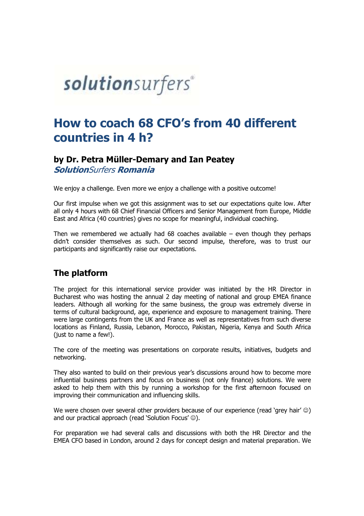# solutionsurfers®

# How to coach 68 CFO's from 40 different countries in 4 h?

# by Dr. Petra Müller Müller-Demary and Ian Peatey

SolutionSurfers Romania

We enjoy a challenge. Even more we enjoy a challenge with a positive outcome!

Our first impulse when we got this assignment was to set our expectations quite low. After all only 4 hours with 68 Chief Financial Officers and Senior Management from Europe, Middle East and Africa (40 countries) gives no scope for meaningful, individual coaching.

Then we remembered we actually had 68 coaches available – even though the didn't consider themselves as such. Our second impulse, therefore, was to trust our participants and significantly raise our expectations.

## The platform

The project for this international service provider was initiated by the HR Director in Bucharest who was hosting the annual 2 day meeting of national and group EMEA finance leaders. Although all working for the same business, the group was extremely diverse in terms of cultural background, age, experience and exposure to management training. were large contingents from the UK and France as well as representatives from such diverse locations as Finland, Russia, Lebanon, Morocco, Pakistan, Nigeria, Kenya and South Africa (just to name a few!). We enjoy a challenge. Even more we enjoy a challenge with a positive outcome!<br>Our first impulse when we got this assignment was to set our expectations quite low. After<br>all only 4 hours with 68 Chief Financial Officers an Bucharest who was hosting the annual 2 day meeting of national and group EMEA finance<br>leaders. Although all working for the same business, the group was extremely diverse in<br>terms of cultural background, age, experience an

The core of the meeting was presentations on corporate results, initiatives, budgets and networking.

They also wanted to build on their previous year's discussions around how to become more influential business partners and focus on business (not only finance) solutions. We were asked to help them with this by running a workshop for the first afternoon focused on improving their communication and influencing skills. large contingents from the UK and France as well as representatives from such diverse<br>ions as Finland, Russia, Lebanon, Morocco, Pakistan, Nigeria, Kenya and South Africa<br>to name a few!).<br>core of the meeting was presentati

We were chosen over several other providers because of our experience (read 'grey hair'  $\circledcirc$ ) and our practical approach (read 'Solution Focus'  $\circledcirc$ ).

For preparation we had several calls and discussions with both the HR Director and the EMEA CFO based in London, around 2 days for concept design and material preparation. We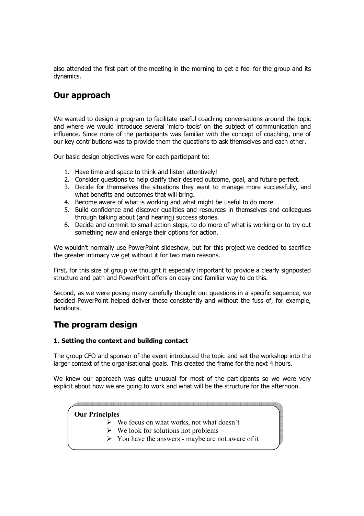also attended the first part of the meeting in the morning to get a feel for the group and its dynamics.

# Our approach

We wanted to design a program to facilitate useful coaching conversations around the topic and where we would introduce several 'micro tools' on the subject of communication and influence. Since none of the participants was familiar with the concept of coaching, one of our key contributions was to provide them the questions to ask themselves and each other.

Our basic design objectives were for each participant to:

- 1. Have time and space to think and listen attentively!
- 2. Consider questions to help clarify their desired outcome, goal, and future perfect.
- 3. Decide for themselves the situations they want to manage more successfully, and what benefits and outcomes that will bring.
- 4. Become aware of what is working and what might be useful to do more.
- 5. Build confidence and discover qualities and resources in themselves and colleagues through talking about (and hearing) success stories.
- 6. Decide and commit to small action steps, to do more of what is working or to try out something new and enlarge their options for action.

We wouldn't normally use PowerPoint slideshow, but for this project we decided to sacrifice the greater intimacy we get without it for two main reasons.

First, for this size of group we thought it especially important to provide a clearly signposted structure and path and PowerPoint offers an easy and familiar way to do this.

Second, as we were posing many carefully thought out questions in a specific sequence, we decided PowerPoint helped deliver these consistently and without the fuss of, for example, handouts.

# The program design

#### 1. Setting the context and building contact

The group CFO and sponsor of the event introduced the topic and set the workshop into the larger context of the organisational goals. This created the frame for the next 4 hours.

We knew our approach was quite unusual for most of the participants so we were very explicit about how we are going to work and what will be the structure for the afternoon.

#### Our Principles

- $\triangleright$  We focus on what works, not what doesn't
- ► We look for solutions not problems
- > You have the answers maybe are not aware of it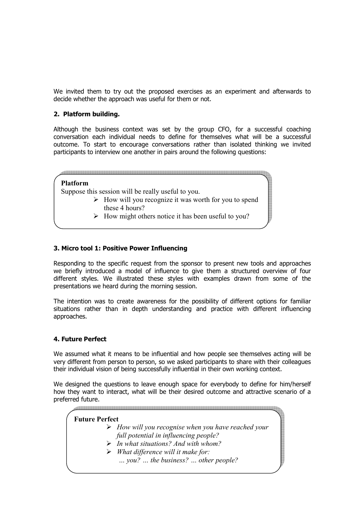We invited them to try out the proposed exercises as an experiment and afterwards to decide whether the approach was useful for them or not.

#### 2. Platform building.

Although the business context was set by the group CFO, for a successful coaching conversation each individual needs to define for themselves what will be a successful outcome. To start to encourage conversations rather than isolated thinking we invited participants to interview one another in pairs around the following questions:

#### Platform

Suppose this session will be really useful to you.

- > How will you recognize it was worth for you to spend these 4 hours?
- > How might others notice it has been useful to you?

#### 3. Micro tool 1: Positive Power Influencing

Responding to the specific request from the sponsor to present new tools and approaches we briefly introduced a model of influence to give them a structured overview of four different styles. We illustrated these styles with examples drawn from some of the presentations we heard during the morning session.

The intention was to create awareness for the possibility of different options for familiar situations rather than in depth understanding and practice with different influencing approaches.

#### 4. Future Perfect

We assumed what it means to be influential and how people see themselves acting will be very different from person to person, so we asked participants to share with their colleagues their individual vision of being successfully influential in their own working context.

We designed the questions to leave enough space for everybody to define for him/herself how they want to interact, what will be their desired outcome and attractive scenario of a preferred future.

## Future Perfect > How will you recognise when you have reached your full potential in influencing people? > In what situations? And with whom?

> What difference will it make for:

… you? … the business? … other people?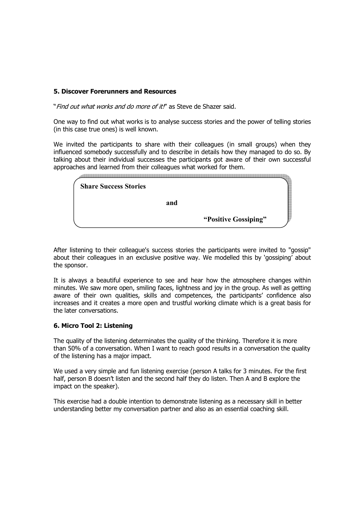#### 5. Discover Forerunners and Resources

"Find out what works and do more of it!" as Steve de Shazer said.

One way to find out what works is to analyse success stories and the power of telling stories (in this case true ones) is well known.

We invited the participants to share with their colleagues (in small groups) when they influenced somebody successfully and to describe in details how they managed to do so. By talking about their individual successes the participants got aware of their own successful approaches and learned from their colleagues what worked for them.

| <b>Share Success Stories</b> |                      |  |
|------------------------------|----------------------|--|
| and                          |                      |  |
|                              | "Positive Gossiping" |  |

After listening to their colleague's success stories the participants were invited to "gossip" about their colleagues in an exclusive positive way. We modelled this by 'gossiping' about the sponsor.

It is always a beautiful experience to see and hear how the atmosphere changes within minutes. We saw more open, smiling faces, lightness and joy in the group. As well as getting aware of their own qualities, skills and competences, the participants' confidence also increases and it creates a more open and trustful working climate which is a great basis for the later conversations.

#### 6. Micro Tool 2: Listening

The quality of the listening determinates the quality of the thinking. Therefore it is more than 50% of a conversation. When I want to reach good results in a conversation the quality of the listening has a major impact.

We used a very simple and fun listening exercise (person A talks for 3 minutes. For the first half, person B doesn't listen and the second half they do listen. Then A and B explore the impact on the speaker).

This exercise had a double intention to demonstrate listening as a necessary skill in better understanding better my conversation partner and also as an essential coaching skill.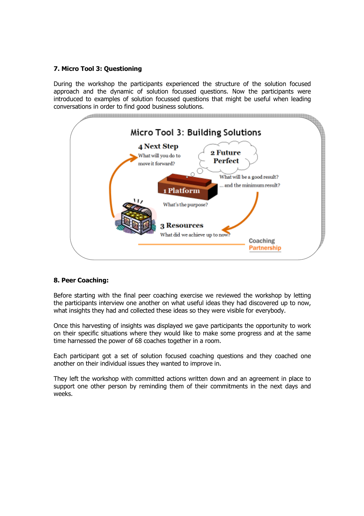#### 7. Micro Tool 3: Questioning

During the workshop the participants experienced the structure of the solution focused approach and the dynamic of solution focussed questions. Now the participants were introduced to examples of solution focussed questions that might be useful when leading conversations in order to find good business solutions.



#### 8. Peer Coaching:

Before starting with the final peer coaching exercise we reviewed the workshop by letting the participants interview one another on what useful ideas they had discovered up to now, what insights they had and collected these ideas so they were visible for everybody.

Once this harvesting of insights was displayed we gave participants the opportunity to work on their specific situations where they would like to make some progress and at the same time harnessed the power of 68 coaches together in a room.

Each participant got a set of solution focused coaching questions and they coached one another on their individual issues they wanted to improve in.

They left the workshop with committed actions written down and an agreement in place to support one other person by reminding them of their commitments in the next days and weeks.